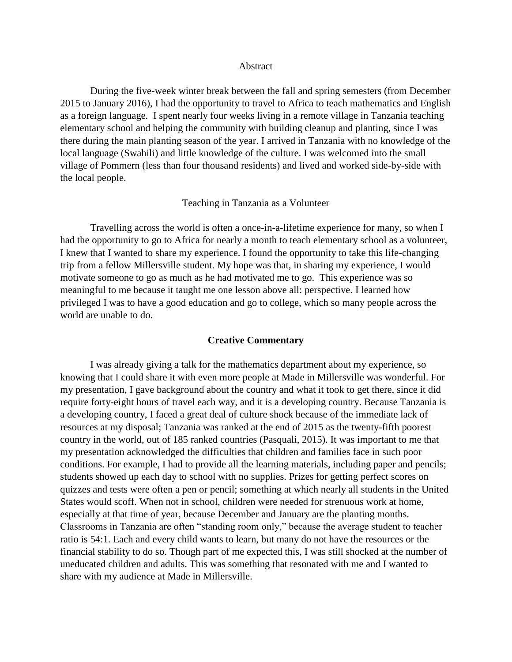## Abstract

During the five-week winter break between the fall and spring semesters (from December 2015 to January 2016), I had the opportunity to travel to Africa to teach mathematics and English as a foreign language. I spent nearly four weeks living in a remote village in Tanzania teaching elementary school and helping the community with building cleanup and planting, since I was there during the main planting season of the year. I arrived in Tanzania with no knowledge of the local language (Swahili) and little knowledge of the culture. I was welcomed into the small village of Pommern (less than four thousand residents) and lived and worked side-by-side with the local people.

## Teaching in Tanzania as a Volunteer

Travelling across the world is often a once-in-a-lifetime experience for many, so when I had the opportunity to go to Africa for nearly a month to teach elementary school as a volunteer, I knew that I wanted to share my experience. I found the opportunity to take this life-changing trip from a fellow Millersville student. My hope was that, in sharing my experience, I would motivate someone to go as much as he had motivated me to go. This experience was so meaningful to me because it taught me one lesson above all: perspective. I learned how privileged I was to have a good education and go to college, which so many people across the world are unable to do.

## **Creative Commentary**

I was already giving a talk for the mathematics department about my experience, so knowing that I could share it with even more people at Made in Millersville was wonderful. For my presentation, I gave background about the country and what it took to get there, since it did require forty-eight hours of travel each way, and it is a developing country. Because Tanzania is a developing country, I faced a great deal of culture shock because of the immediate lack of resources at my disposal; Tanzania was ranked at the end of 2015 as the twenty-fifth poorest country in the world, out of 185 ranked countries (Pasquali, 2015). It was important to me that my presentation acknowledged the difficulties that children and families face in such poor conditions. For example, I had to provide all the learning materials, including paper and pencils; students showed up each day to school with no supplies. Prizes for getting perfect scores on quizzes and tests were often a pen or pencil; something at which nearly all students in the United States would scoff. When not in school, children were needed for strenuous work at home, especially at that time of year, because December and January are the planting months. Classrooms in Tanzania are often "standing room only," because the average student to teacher ratio is 54:1. Each and every child wants to learn, but many do not have the resources or the financial stability to do so. Though part of me expected this, I was still shocked at the number of uneducated children and adults. This was something that resonated with me and I wanted to share with my audience at Made in Millersville.